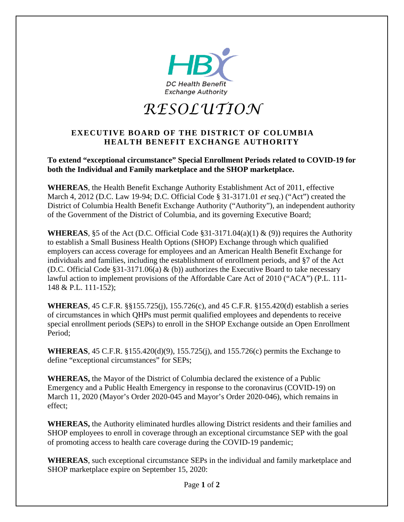

*RESOLUTION* 

## **EXECUTIVE BOARD OF THE DISTRICT OF COLUMBIA HEALTH BENEFIT EXCHANGE AUTHORITY**

**To extend "exceptional circumstance" Special Enrollment Periods related to COVID-19 for both the Individual and Family marketplace and the SHOP marketplace.**

**WHEREAS**, the Health Benefit Exchange Authority Establishment Act of 2011, effective March 4, 2012 (D.C. Law 19-94; D.C. Official Code § 31-3171.01 *et seq*.) ("Act") created the District of Columbia Health Benefit Exchange Authority ("Authority"), an independent authority of the Government of the District of Columbia, and its governing Executive Board;

**WHEREAS**, §5 of the Act (D.C. Official Code §31-3171.04(a)(1) & (9)) requires the Authority to establish a Small Business Health Options (SHOP) Exchange through which qualified employers can access coverage for employees and an American Health Benefit Exchange for individuals and families, including the establishment of enrollment periods, and §7 of the Act (D.C. Official Code §31-3171.06(a) & (b)) authorizes the Executive Board to take necessary lawful action to implement provisions of the Affordable Care Act of 2010 ("ACA") (P.L. 111- 148 & P.L. 111-152);

**WHEREAS**, 45 C.F.R. §§155.725(j), 155.726(c), and 45 C.F.R. §155.420(d) establish a series of circumstances in which QHPs must permit qualified employees and dependents to receive special enrollment periods (SEPs) to enroll in the SHOP Exchange outside an Open Enrollment Period;

**WHEREAS**, 45 C.F.R. §155.420(d)(9), 155.725(j), and 155.726(c) permits the Exchange to define "exceptional circumstances" for SEPs;

**WHEREAS,** the Mayor of the District of Columbia declared the existence of a Public Emergency and a Public Health Emergency in response to the coronavirus (COVID-19) on March 11, 2020 (Mayor's Order 2020-045 and Mayor's Order 2020-046), which remains in effect;

**WHEREAS,** the Authority eliminated hurdles allowing District residents and their families and SHOP employees to enroll in coverage through an exceptional circumstance SEP with the goal of promoting access to health care coverage during the COVID-19 pandemic;

**WHEREAS**, such exceptional circumstance SEPs in the individual and family marketplace and SHOP marketplace expire on September 15, 2020: